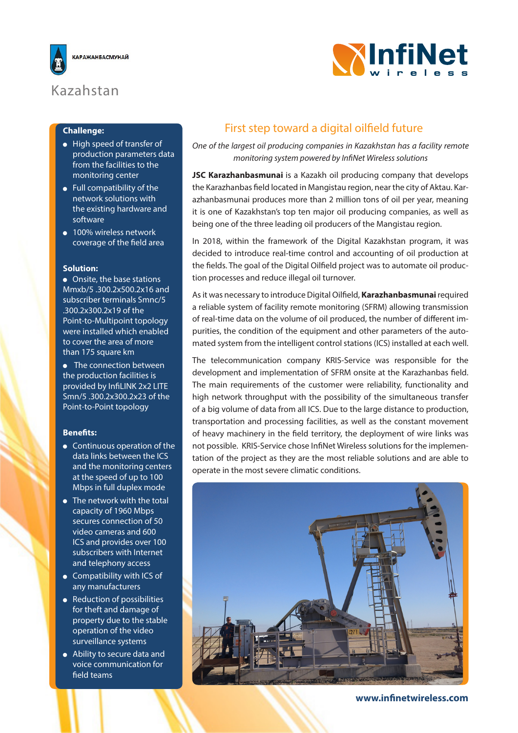

# Kazahstan

### **Challenge:**

- High speed of transfer of production parameters data from the facilities to the monitoring center
- Full compatibility of the network solutions with the existing hardware and software
- 100% wireless network coverage of the field area

#### **Solution:**

 Onsite, the base stations Mmxb/5 .300.2x500.2x16 and subscriber terminals Smnc/5 .300.2x300.2x19 of the Point-to-Multipoint topology were installed which enabled to cover the area of more than 175 square km

• The connection between the production facilities is provided by InfiLINK 2x2 LITE Smn/5 .300.2x300.2x23 of the Point-to-Point topology

#### **Benefits:**

- **•** Continuous operation of the data links between the ICS and the monitoring centers at the speed of up to 100 Mbps in full duplex mode
- The network with the total capacity of 1960 Mbps secures connection of 50 video cameras and 600 ICS and provides over 100 subscribers with Internet and telephony access
- Compatibility with ICS of any manufacturers
- Reduction of possibilities for theft and damage of property due to the stable operation of the video surveillance systems
- Ability to secure data and voice communication for field teams

## First step toward a digital oilfield future

*One of the largest oil producing companies in Kazakhstan has a facility remote monitoring system powered by InfiNet Wireless solutions*

**WInfiNet** 

**JSC Karazhanbasmunai** is a Kazakh oil producing company that develops the Karazhanbas field located in Mangistau region, near the city of Aktau. Karazhanbasmunai produces more than 2 million tons of oil per year, meaning it is one of Kazakhstan's top ten major oil producing companies, as well as being one of the three leading oil producers of the Mangistau region.

In 2018, within the framework of the Digital Kazakhstan program, it was decided to introduce real-time control and accounting of oil production at the fields. The goal of the Digital Oilfield project was to automate oil production processes and reduce illegal oil turnover.

As it was necessary to introduce Digital Oilfield, **Karazhanbasmunai** required a reliable system of facility remote monitoring (SFRM) allowing transmission of real-time data on the volume of oil produced, the number of different impurities, the condition of the equipment and other parameters of the automated system from the intelligent control stations (ICS) installed at each well.

The telecommunication company KRIS-Service was responsible for the development and implementation of SFRM onsite at the Karazhanbas field. The main requirements of the customer were reliability, functionality and high network throughput with the possibility of the simultaneous transfer of a big volume of data from all ICS. Due to the large distance to production, transportation and processing facilities, as well as the constant movement of heavy machinery in the field territory, the deployment of wire links was not possible. KRIS-Service chose InfiNet Wireless solutions for the implementation of the project as they are the most reliable solutions and are able to operate in the most severe climatic conditions.



**www.infinetwireless.com**